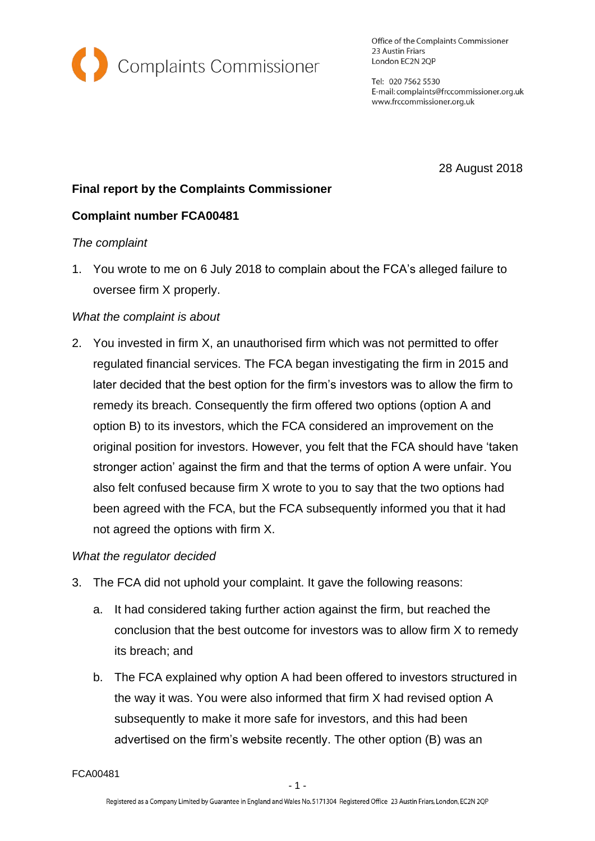

Office of the Complaints Commissioner 23 Austin Friars London EC2N 2QP

Tel: 020 7562 5530 E-mail: complaints@frccommissioner.org.uk www.frccommissioner.org.uk

28 August 2018

# **Final report by the Complaints Commissioner**

# **Complaint number FCA00481**

# *The complaint*

1. You wrote to me on 6 July 2018 to complain about the FCA's alleged failure to oversee firm X properly.

# *What the complaint is about*

2. You invested in firm X, an unauthorised firm which was not permitted to offer regulated financial services. The FCA began investigating the firm in 2015 and later decided that the best option for the firm's investors was to allow the firm to remedy its breach. Consequently the firm offered two options (option A and option B) to its investors, which the FCA considered an improvement on the original position for investors. However, you felt that the FCA should have 'taken stronger action' against the firm and that the terms of option A were unfair. You also felt confused because firm X wrote to you to say that the two options had been agreed with the FCA, but the FCA subsequently informed you that it had not agreed the options with firm X.

# *What the regulator decided*

- 3. The FCA did not uphold your complaint. It gave the following reasons:
	- a. It had considered taking further action against the firm, but reached the conclusion that the best outcome for investors was to allow firm X to remedy its breach; and
	- b. The FCA explained why option A had been offered to investors structured in the way it was. You were also informed that firm X had revised option A subsequently to make it more safe for investors, and this had been advertised on the firm's website recently. The other option (B) was an

FCA00481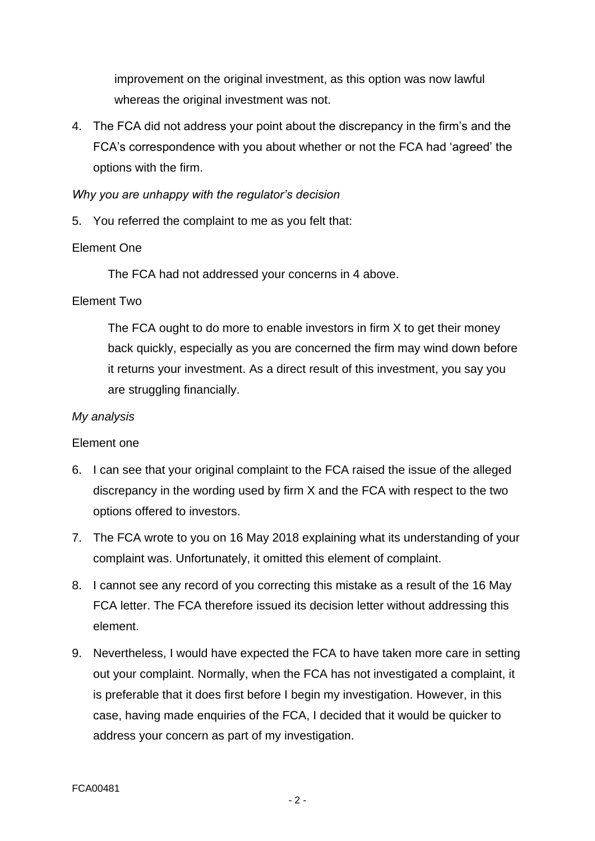improvement on the original investment, as this option was now lawful whereas the original investment was not.

4. The FCA did not address your point about the discrepancy in the firm's and the FCA's correspondence with you about whether or not the FCA had 'agreed' the options with the firm.

#### *Why you are unhappy with the regulator's decision*

5. You referred the complaint to me as you felt that:

# Element One

The FCA had not addressed your concerns in 4 above.

# Element Two

The FCA ought to do more to enable investors in firm X to get their money back quickly, especially as you are concerned the firm may wind down before it returns your investment. As a direct result of this investment, you say you are struggling financially.

#### *My analysis*

#### Element one

- 6. I can see that your original complaint to the FCA raised the issue of the alleged discrepancy in the wording used by firm X and the FCA with respect to the two options offered to investors.
- 7. The FCA wrote to you on 16 May 2018 explaining what its understanding of your complaint was. Unfortunately, it omitted this element of complaint.
- 8. I cannot see any record of you correcting this mistake as a result of the 16 May FCA letter. The FCA therefore issued its decision letter without addressing this element.
- 9. Nevertheless, I would have expected the FCA to have taken more care in setting out your complaint. Normally, when the FCA has not investigated a complaint, it is preferable that it does first before I begin my investigation. However, in this case, having made enquiries of the FCA, I decided that it would be quicker to address your concern as part of my investigation.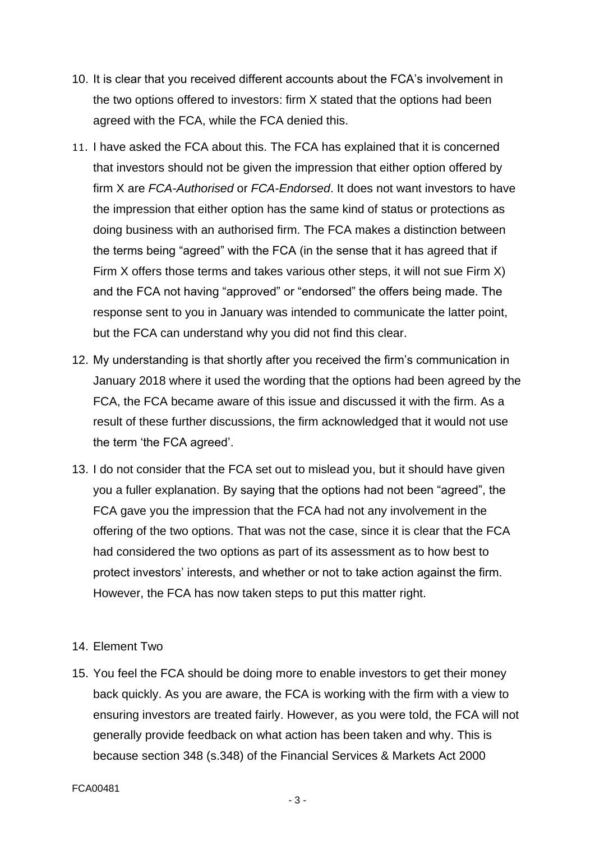- 10. It is clear that you received different accounts about the FCA's involvement in the two options offered to investors: firm X stated that the options had been agreed with the FCA, while the FCA denied this.
- 11. I have asked the FCA about this. The FCA has explained that it is concerned that investors should not be given the impression that either option offered by firm X are *FCA-Authorised* or *FCA-Endorsed*. It does not want investors to have the impression that either option has the same kind of status or protections as doing business with an authorised firm. The FCA makes a distinction between the terms being "agreed" with the FCA (in the sense that it has agreed that if Firm X offers those terms and takes various other steps, it will not sue Firm X) and the FCA not having "approved" or "endorsed" the offers being made. The response sent to you in January was intended to communicate the latter point, but the FCA can understand why you did not find this clear.
- 12. My understanding is that shortly after you received the firm's communication in January 2018 where it used the wording that the options had been agreed by the FCA, the FCA became aware of this issue and discussed it with the firm. As a result of these further discussions, the firm acknowledged that it would not use the term 'the FCA agreed'.
- 13. I do not consider that the FCA set out to mislead you, but it should have given you a fuller explanation. By saying that the options had not been "agreed", the FCA gave you the impression that the FCA had not any involvement in the offering of the two options. That was not the case, since it is clear that the FCA had considered the two options as part of its assessment as to how best to protect investors' interests, and whether or not to take action against the firm. However, the FCA has now taken steps to put this matter right.

#### 14. Element Two

15. You feel the FCA should be doing more to enable investors to get their money back quickly. As you are aware, the FCA is working with the firm with a view to ensuring investors are treated fairly. However, as you were told, the FCA will not generally provide feedback on what action has been taken and why. This is because section 348 (s.348) of the Financial Services & Markets Act 2000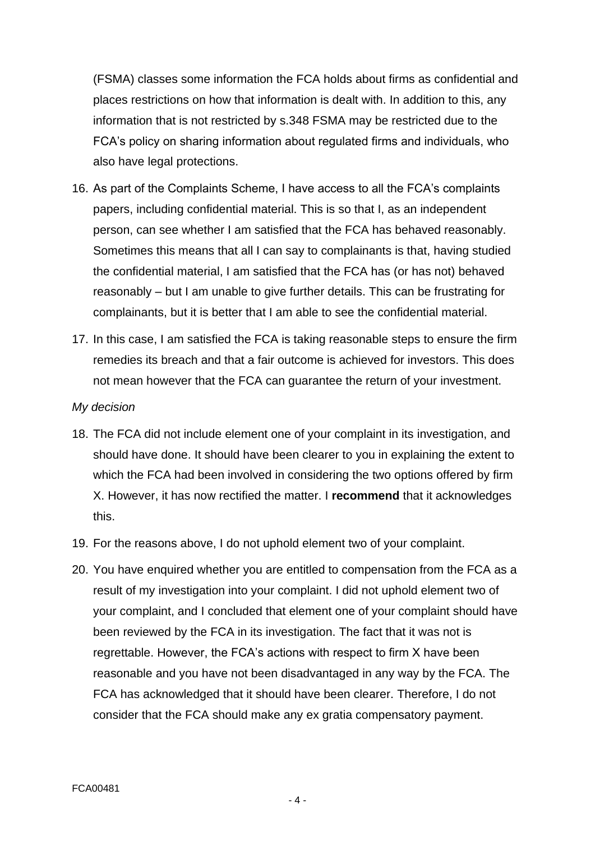(FSMA) classes some information the FCA holds about firms as confidential and places restrictions on how that information is dealt with. In addition to this, any information that is not restricted by s.348 FSMA may be restricted due to the FCA's policy on sharing information about regulated firms and individuals, who also have legal protections.

- 16. As part of the Complaints Scheme, I have access to all the FCA's complaints papers, including confidential material. This is so that I, as an independent person, can see whether I am satisfied that the FCA has behaved reasonably. Sometimes this means that all I can say to complainants is that, having studied the confidential material, I am satisfied that the FCA has (or has not) behaved reasonably – but I am unable to give further details. This can be frustrating for complainants, but it is better that I am able to see the confidential material.
- 17. In this case, I am satisfied the FCA is taking reasonable steps to ensure the firm remedies its breach and that a fair outcome is achieved for investors. This does not mean however that the FCA can guarantee the return of your investment.

#### *My decision*

- 18. The FCA did not include element one of your complaint in its investigation, and should have done. It should have been clearer to you in explaining the extent to which the FCA had been involved in considering the two options offered by firm X. However, it has now rectified the matter. I **recommend** that it acknowledges this.
- 19. For the reasons above, I do not uphold element two of your complaint.
- 20. You have enquired whether you are entitled to compensation from the FCA as a result of my investigation into your complaint. I did not uphold element two of your complaint, and I concluded that element one of your complaint should have been reviewed by the FCA in its investigation. The fact that it was not is regrettable. However, the FCA's actions with respect to firm X have been reasonable and you have not been disadvantaged in any way by the FCA. The FCA has acknowledged that it should have been clearer. Therefore, I do not consider that the FCA should make any ex gratia compensatory payment.